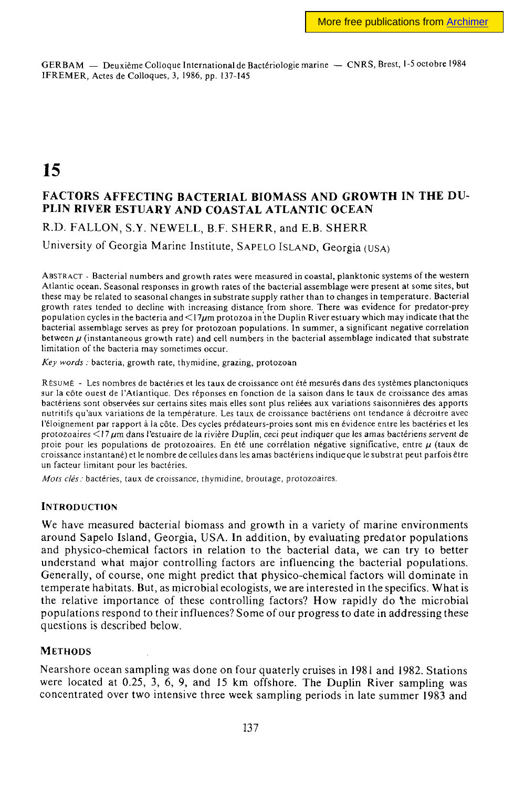GERBAM — Deuxième Colloque International de Bactériologie marine — CNRS, Brest, 1-5 octobre 1984 IFREMER, Actes de Colloques, 3, 1986, pp. 137-145

**15** 

# **FACTORS AFFECTING BACTERIAL BIOMASS AND GROWTH IN THE DU-PLIN RIVER ESTUARY AND COASTAL ATLANTIC OCEAN**

R.D. FALLON, S.Y. NEWELL, B.F. SHERR, and E.B. SHERR

University of Georgia Marine Institute, SAPELO ISLAND, Georgia (USA)

ABSTRACT - Bacterial numbers and growth rates were measured in coastal, planktonic systems of the western Atlantic ocean. Seasonal responses in growth rates of the bacterial assemblage were present at some sites, but these may be related to seasonal changes in substrate supply rather than to changes in temperature. Bacterial growth rates tended to decline with increasing distance from shore. There was evidence for predator-prey population cycles in the bacteria and  $\leq 17\mu$ m protozoa in the Duplin River estuary which may indicate that the bacterial assemblage serves as prey for protozoan populations. In summer, a significant negative correlation between  $\mu$  (instantaneous growth rate) and cell numbers in the bacterial assemblage indicated that substrate limitation of the bacteria may sometimes occur.

*Key words :* bacteria, growth rate, thymidine, grazing, protozoan

RÉSUMÉ - Les nombres de bactéries et les taux de croissance ont été mesurés dans des systèmes planctoniques sur la côte ouest de l'Atlantique. Des réponses en fonction de la saison dans le taux de croissance des amas bactériens sont observées sur certains sites mais elles sont plus reliées aux variations saisonnières des apports nutritifs qu'aux variations de la température. Les taux de croissance bactériens ont tendance à décroître avec l'éloignement par rapport à la côte. Des cycles prédateurs-proies sont mis en évidence entre les bactéries et les protozoaires <17/um dans l'estuaire de la rivière Duplin, ceci peut indiquer que les amas bactériens servent de proie pour les populations de protozoaires. En été une corrélation négative significative, entre  $\mu$  (taux de croissance instantané) et le nombre de cellules dans les amas bactériens indique que le substrat peut parfois être un facteur limitant pour les bactéries.

*Mors clés :* bactéries, taux de croissance, thymidine, broutage, protozoaires.

## **INTRODUCTION**

We have measured bacterial biomass and growth in a variety of marine environments around Sapelo Island, Georgia, USA. In addition, by evaluating predator populations and physico-chemical factors in relation to the bacterial data, we can try to better understand what major controlling factors are influencing the bacterial populations. Generally, of course, one might predict that physico-chemical factors will dominate in temperate habitats. But, as microbial ecologists, we are interested in the specifics. What is the relative importance of these controlling factors? How rapidly do the microbial populations respond to their influences? Some of our progress to date in addressing these questions is described below.

## **METHODS**

Nearshore ocean sampling was done on four quaterly cruises in 1981 and 1982. Stations were located at 0.25, 3, 6, 9, and 15 km offshore. The Duplin River sampling was concentrated over two intensive three week sampling periods in late summer 1983 and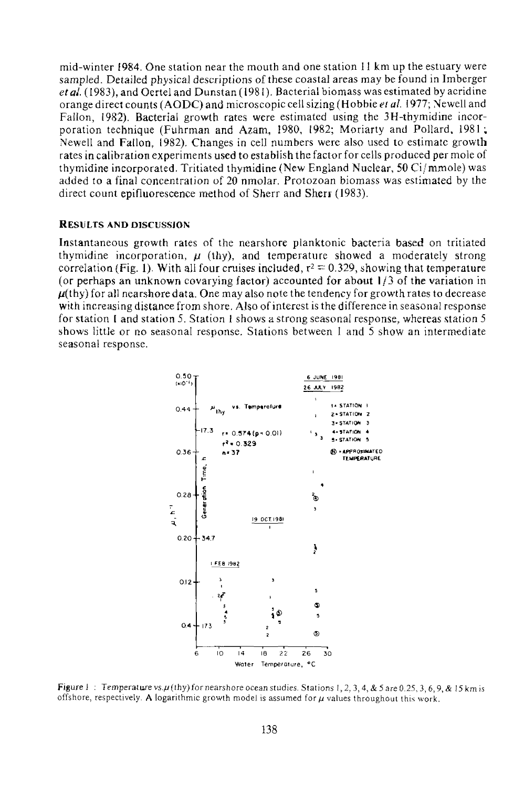mid-winter (984. One station near the mouth and one station 11 km up the estuary were sampled. Detailed physical descriptions of these coastal areas may be found in Imberger et al. (1983), and Oertel and Dunstan (1981). Bacterial biomass was estimated by acridine orange direct counts (AODC) and microscopic cell sizing (Hobbie *et al. \911;* Newell and Fallon, 1982). Bacterial growth rates were estimated using the 3H-thymidine incorporation technique (Fuhrman and Azam, 1980, 1982; Moriarty and Pollard, 1981; Newell and Fallon, 1982). Changes in cell numbers were also used to estimate growth rates in calibration experiments used to establish the factor for cells produced per mole of thymidine incorporated. Tritiated thymidine (New England Nuclear, 50 Ci/mmole) was added to a final concentration of 20 nmolar. Protozoan biomass was estimated by the direct count epifluorescence method of Sherr and Sherr (1983).

#### RESULTS AND DISCUSSION

Instantaneous growth rates of the nearshore planktonic bacteria based on tritiated thymidine incorporation,  $\mu$  (thy), and temperature showed a moderately strong correlation (Fig. 1). With all four cruises included,  $r^2 = 0.329$ , showing that temperature (or perhaps an unknown covarying factor) accounted for about  $1/3$  of the variation in  $\mu$ (thy) for all nearshore data. One may also note the tendency for growth rates to decrease with increasing distance from shore. Also of interest is the difference in seasonal response for station 1 and station 5. Station 1 shows a strong seasonal response, whereas station 5 shows little or no seasonal response. Stations between 1 and 5 show an intermediate seasonal response.



Figure I: Temperature vs.µ(thy) for nearshore ocean studies. Stations 1, 2, 3, 4, & 5 are 0.25, 3, 6, 9, & 15 km is offshore, respectively. A logarithmic growth model is assumed for  $\mu$  values throughout this work.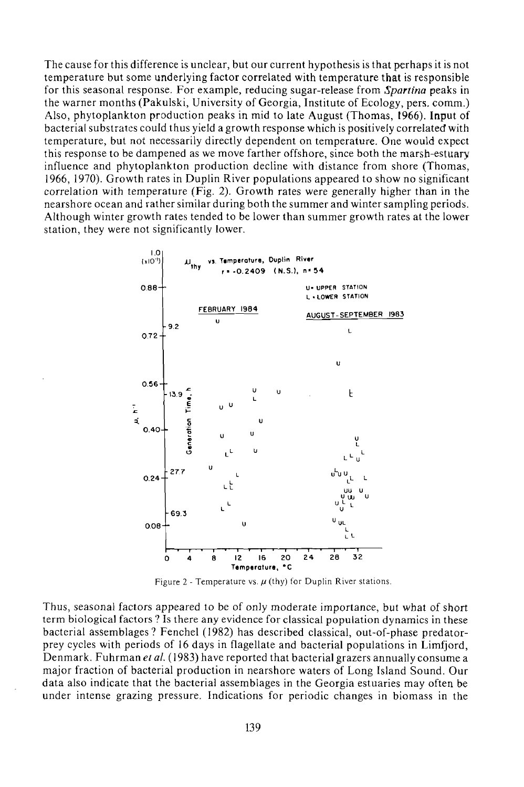The cause for this difference is unclear, but our current hypothesis is that perhaps it is not temperature but some underlying factor correlated with temperature that is responsible for this seasonal response. For example, reducing sugar-release from, *Spartina* peaks in the warner months (Pakulski, University of Georgia, Institute of Ecology, pers. comm.) Also, phytoplankton production peaks in mid to late August (Thomas, 1966). Input of bacterial substrates could thus yield a growth response which is positively correlated with temperature, but not necessarily directly dependent on temperature. One would expect this response to be dampened as we move farther offshore, since both the marsh-estuary influence and phytoplankton production decline with distance from shore (Thomas, 1966, 1970). Growth rates in Duplin River populations appeared to show no significant correlation with temperature (Fig. 2). Growth rates were generally higher than in the nearshore ocean and rather similar during both the summer and winter sampling periods. Although winter growth rates tended to be lower than summer growth rates at the lower station, they were not significantly lower.



Figure 2 - Temperature vs.  $\mu$  (thy) for Duplin River stations.

Thus, seasonal factors appeared to be of only moderate importance, but what of short term biological factors ? Is there any evidence for classical population dynamics in these bacterial assemblages? Fenchel (1982) has described classical, out-of-phase predatorprey cycles with periods of 16 days in flagellate and bacterial populations in Limfjord, Denmark. Fuhrman *et al.* (1983) have reported that bacterial grazers annually consume a major fraction of bacterial production in nearshore waters of Long Island Sound. Our data also indicate that the bacterial assemblages in the Georgia estuaries may often be under intense grazing pressure. Indications for periodic changes in biomass in the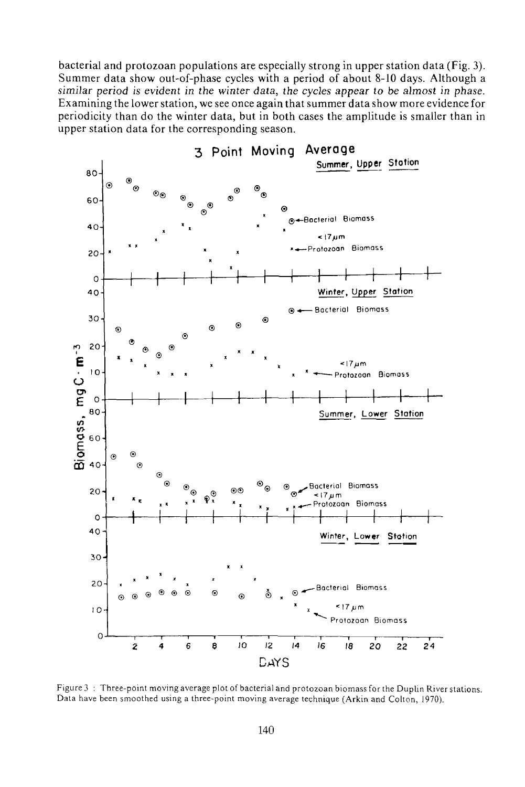bacterial and protozoan populations are especially strong in upper station data (Fig. 3). Summer data show out-of-phase cycles with a period of about 8-10 days. Although a similar period is evident in the winter data, the cycles appear to be almost in phase. Examining the lower station, we see once again that summer data show more evidence for periodicity than do the winter data, but in both cases the amplitude is smaller than in upper station data for the corresponding season.



Figure 3 : Three-point moving average plot of bacterial and protozoan biomass for the Duplin River stations. Data have been smoothed using a three-point moving average technique (Arkin and Colton, 1970).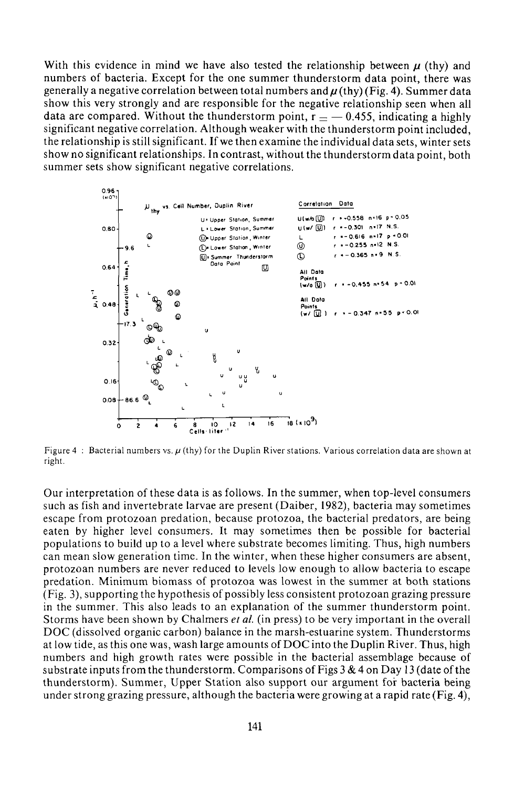With this evidence in mind we have also tested the relationship between  $\mu$  (thy) and numbers of bacteria. Except for the one summer thunderstorm data point, there was generally a negative correlation between total numbers and  $\mu$  (thy) (Fig. 4). Summer data show this very strongly and are responsible for the negative relationship seen when all data are compared. Without the thunderstorm point,  $r = -0.455$ , indicating a highly significant negative correlation. Although weaker with the thunderstorm point included, the relationship is still significant. If we then examine the individual data sets, winter sets show no significant relationships. In contrast, without the thunderstorm data point, both summer sets show significant negative correlations.



Figure 4 : Bacterial numbers vs.  $\mu$  (thy) for the Duplin River stations. Various correlation data are shown at right.

Our interpretation of these data is as follows. In the summer, when top-level consumers such as fish and invertebrate larvae are present (Daiber, 1982), bacteria may sometimes escape from protozoan predation, because protozoa, the bacterial predators, are being eaten by higher level consumers. It may sometimes then be possible for bacterial populations to build up to a level where substrate becomes limiting. Thus, high numbers can mean slow generation time. In the winter, when these higher consumers are absent, protozoan numbers are never reduced to levels low enough to allow bacteria to escape prédation. Minimum biomass of protozoa was lowest in the summer at both stations (Fig. 3), supporting the hypothesis of possibly less consistent protozoan grazing pressure in the summer. This also leads to an explanation of the summer thunderstorm point. Storms have been shown by Chalmers *et al.* (in press) to be very important in the overall DOC (dissolved organic carbon) balance in the marsh-estuarine system. Thunderstorms at low tide, as this one was, wash large amounts of DOC into the Duplin River. Thus, high numbers and high growth rates were possible in the bacterial assemblage because of substrate inputs from the thunderstorm. Comparisons of Figs  $3 \& 4$  on Day 13 (date of the thunderstorm). Summer, Upper Station also support our argument for bacteria being under strong grazing pressure, although the bacteria were growing at a rapid rate (Fig. 4),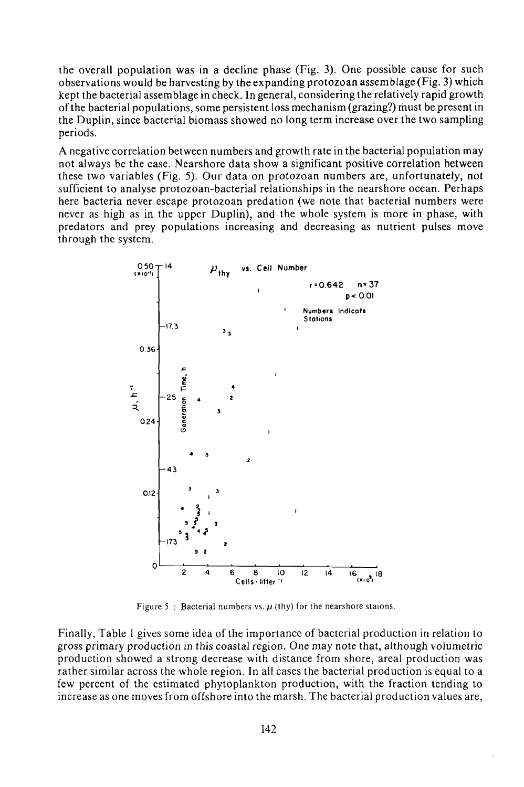the overall population was in a decline phase (Fig. 3). One possible cause for such observations would be harvesting by the expanding protozoan assemblage (Fig. 3) which kept the bacterial assemblage in check. In general, considering the relatively rapid growth of the bacterial populations, some persistent loss mechanism (grazing?) must be present in the Duplin, since bacterial biomass showed no long term increase over the two sampling periods.

A negative correlation between numbers and growth rate in the bacterial population may not always be the case. Nearshore data show a significant positive correlation between these two variables (Fig. 5). Our data on protozoan numbers are, unfortunately, not sufficient to analyse protozoan-bacterial relationships in the nearshore ocean. Perhaps here bacteria never escape protozoan predation (we note that bacterial numbers were never as high as in the upper Duplin), and the whole system is more in phase, with predators and prey populations increasing and decreasing as nutrient pulses move through the system.



Figure 5 : Bacterial numbers vs.  $\mu$  (thy) for the nearshore staions.

Finally, Table 1 gives some idea of the importance of bacterial production in relation to gross primary production in this coastal region. *One* may note that, although volumetric production showed a strong decrease with distance from shore, areal production was rather similar across the whole region. In all cases the bacterial production is equal to a few percent of the estimated phytoplankton production, with the fraction tending to increase as one moves from offshore into the marsh. The bacterial production values are,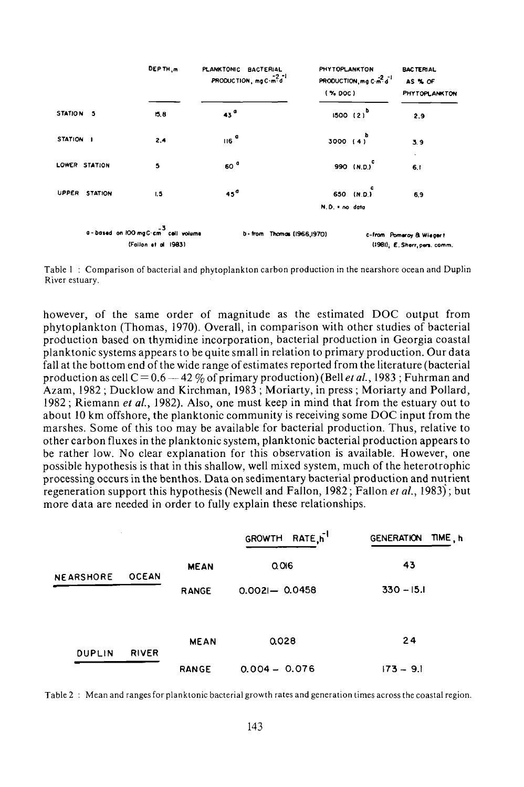|           |                | DEPTH <sub>m</sub>                                                      | PLANKTONIC BACTERIAL<br>PRODUCTION, mg C-m <sup>2</sup> d <sup>-1</sup> | PHYTOPLANKTON<br>PRODUCTION, mg C-m <sup>2</sup> d <sup>-1</sup><br>$($ % DOC) | <b>BACTERIAL</b><br>AS % OF                              | PHYTOPLANKTON |
|-----------|----------------|-------------------------------------------------------------------------|-------------------------------------------------------------------------|--------------------------------------------------------------------------------|----------------------------------------------------------|---------------|
| STATION 5 |                | 15.8                                                                    | 43 <sup>0</sup>                                                         | 1500(2)                                                                        | 2,9                                                      |               |
| STATION I |                | 2,4                                                                     | $116$ <sup>a</sup>                                                      | 3000 $(4)^{b}$                                                                 | 3.9                                                      |               |
|           | LOWER STATION  | 5                                                                       | 60 <sup>°</sup>                                                         | 990 (N.D.) <sup>C</sup>                                                        | 6.1                                                      |               |
| UPPER     | <b>STATION</b> | 1,5                                                                     | 45 <sup>o</sup>                                                         | 650 (N.D.)                                                                     | 6,9                                                      |               |
|           |                |                                                                         |                                                                         | N.D. = no data                                                                 |                                                          |               |
|           |                | a - based on 100 mgC cm <sup>2</sup> cell volume<br>(Follon at al 1983) |                                                                         | b-from Thomas (1966,1970)                                                      | c-from Pomeroy & Wiegert<br>(1981); E. Sherr pers. comm. |               |

Table 1 : Comparison of bacterial and phytoplankton carbon production in the nearshore ocean and Duplin River estuary.

however, of the same order of magnitude as the estimated DOC output from phytoplankton (Thomas, 1970). Overall, in comparison with other studies of bacterial production based on thymidine incorporation, bacterial production in Georgia coastal planktonic systems appears to be quite small in relation to primary production. Our data fall at the bottom end of the wide range of estimates reported from the literature (bacterial production as cell  $C = 0.6 - 42 \%$  of primary production) (Bell *et al.*, 1983; Fuhrman and Azam, 1982 ; Ducklow and Kirchman, 1983 ; Moriarty, in press ; Moriarty and Pollard, 1982 ; Riemann *et al,* 1982). Also, one must keep in mind that from the estuary out to about 10 km offshore, the planktonic community is receiving some DOC input from the marshes. Some of this too may be available for bacterial production. Thus, relative to other carbon fluxes in the planktonic system, planktonic bacterial production appears to be rather low. No clear explanation for this observation is available. However, one possible hypothesis is that in this shallow, well mixed system, much of the heterotrophic processing occurs in the benthos. Data on sedimentary bacterial production and nutrient regeneration support this hypothesis (Newell and Fallon, 1982; Fallon *et al,* 1983); but more data are needed in order to fully explain these relationships.

|                  |              |              | GROWTH RATE,h <sup>-1</sup> | TIME, h<br><b>GENERATION</b> |
|------------------|--------------|--------------|-----------------------------|------------------------------|
| <b>NEARSHORE</b> | <b>OCEAN</b> | <b>MEAN</b>  | Q 016                       | 43                           |
|                  |              | <b>RANGE</b> | $0.002 - 0.0458$            | $330 - 15.1$                 |
| <b>DUPLIN</b>    | <b>RIVER</b> | <b>MEAN</b>  | 0.028                       | 24                           |
|                  |              | <b>RANGE</b> | $0.004 - 0.076$             | $173 - 9.1$                  |

Table 2 : Mean and ranges for planktonic bacterial growth rates and generation times across the coastal region.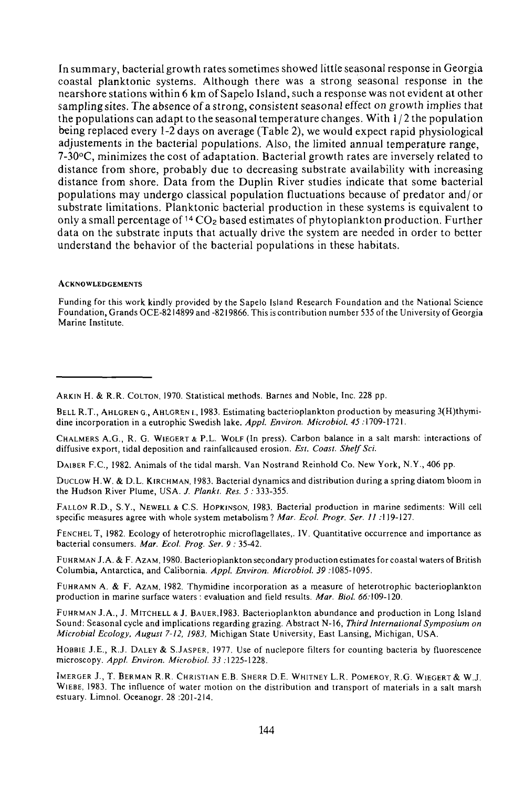In summary, bacterial growth rates sometimes showed little seasonal response in Georgia coastal planktonic systems. Although there was a strong seasonal response in the nearshore stations within 6 km of Sapelo Island, such a response was not evident at other sampling sites. The absence of a strong, consistent seasonal effect on growth implies that the populations can adapt to the seasonal temperature changes. With  $1/2$  the population being replaced every 1-2 days on average (Table 2), we would expect rapid physiological adjustements in the bacterial populations. Also, the limited annual temperature range, 7-30°C, minimizes the cost of adaptation. Bacterial growth rates are inversely related to distance from shore, probably due to decreasing substrate availability with increasing distance from shore. Data from the Duplin River studies indicate that some bacterial populations may undergo classical population fluctuations because of predator and/ or substrate limitations. Planktonic bacterial production in these systems is equivalent to only a small percentage of <sup>14</sup> CO<sub>2</sub> based estimates of phytoplankton production. Further data on the substrate inputs that actually drive the system are needed in order to better understand the behavior of the bacterial populations in these habitats.

#### **ACKNOWLEDGEMENTS**

Funding for this work kindly provided by the Sapelo Island Research Foundation and the National Science Found ation, Grands OCE-8214899 and -8219866. This is contribution number 535 of the U niversity of Georgia Marine Institute.

DAIBER F.C., 1982. Animals of the tidal marsh. Van Nostrand Reinhold Co. New York, N.Y., 406 pp.

DUCLOW H.W. & D.L. KIRCHMAN, 1983. Bacterial dynamics and distribution during a spring diatom bloom in the Hudson River Plume, USA. *J. Plankt. Res. 5:* 333-355.

FALLON R.D., S.Y., NEWELL\* C.S. HOPKINSON, 1983. Bacterial production in marine sediments: Will cell specific measures agree with whole system metabolism? *Mar. Ecol. Progr. Ser. II* .119-127.

FENCHELT, 1982. Ecology of heterotrophic microflagellates,. IV. Quantitative occurrence and importance as bacterial consumers. *Mar. Ecol. Prog. Ser. 9 :* 35-42.

FUHRMAN J.A. & F. AZAM, 1980. Bacterioplankton secondary production estimates for coastal waters of British Columbia, Antarctica, and Calibornia. Appl. Environ. Microbiol. 39:1085-1095.

FUHRAMN A. & F. AZAM, 1982. Thymidine incorporation as a measure of heterotrophic bacterioplankton production in marine surface waters : evaluation and field results. Mar. Biol. 66:109-120.

FUHRMAN J.A., J. MITCHELL & J. BAUER,1983. Bacterioplankton abundance and production in Long Island Sound: Seasonal cycle and implications regarding grazing. Abstract N-16, *Third International Symposium on Microbial Ecology, August 7-12, 1983,* Michigan State University, East Lansing, Michigan, USA.

HOBBIE J.E., R.J. DALEY & S.JASPER, 1977. Use of nuclepore filters for counting bacteria by fluorescence microscopy. *Appl. Environ. Microbiol. 33* .1225-1228.

IMERGER J., T. BERMAN R.R. CHRISTIAN E.B. SHERR D.E. WHITNEY L.R. POMEROY, R.G. WIEGERT& W.J. WIEBE, 1983. The influence of water motion on the distribution and transport of materials in a salt marsh estuary. Limnol. Oceanogr. 28 :201-2I4.

ARKIN H. & R.R. COLTON, 1970. Statistical methods. Barnes and Noble, Inc. 228 pp.

BELL R.T., AHLGREN G., AHLGREN I., 1983. Estimating bacterioplankton production by measuring 3(H)thymidine incorporation in a eutrophic Swedish lake. *Appl. Environ. Microbiol. 45* .1709-1721.

CHALMERS A.G., R. G. WIEGERT & P.L. WOLF (In press). Carbon balance in a salt marsh: interactions of diffusive export, tidal deposition and rainfallcaused erosion. *Est. Coast. Shelf Sci.*